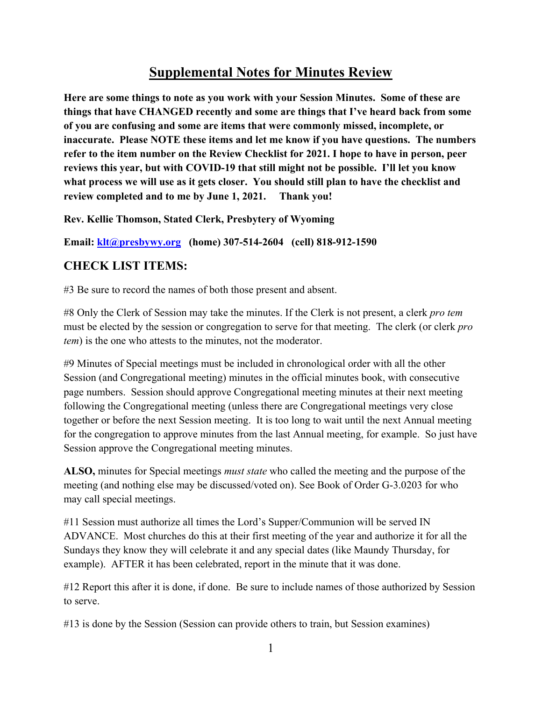## **Supplemental Notes for Minutes Review**

**Here are some things to note as you work with your Session Minutes. Some of these are things that have CHANGED recently and some are things that I've heard back from some of you are confusing and some are items that were commonly missed, incomplete, or inaccurate. Please NOTE these items and let me know if you have questions. The numbers refer to the item number on the Review Checklist for 2021. I hope to have in person, peer reviews this year, but with COVID-19 that still might not be possible. I'll let you know what process we will use as it gets closer. You should still plan to have the checklist and review completed and to me by June 1, 2021. Thank you!**

**Rev. Kellie Thomson, Stated Clerk, Presbytery of Wyoming**

**Email: [klt@presbywy.org](mailto:klt@presbywy.org) (home) 307-514-2604 (cell) 818-912-1590**

## **CHECK LIST ITEMS:**

#3 Be sure to record the names of both those present and absent.

#8 Only the Clerk of Session may take the minutes. If the Clerk is not present, a clerk *pro tem* must be elected by the session or congregation to serve for that meeting. The clerk (or clerk *pro tem*) is the one who attests to the minutes, not the moderator.

#9 Minutes of Special meetings must be included in chronological order with all the other Session (and Congregational meeting) minutes in the official minutes book, with consecutive page numbers. Session should approve Congregational meeting minutes at their next meeting following the Congregational meeting (unless there are Congregational meetings very close together or before the next Session meeting. It is too long to wait until the next Annual meeting for the congregation to approve minutes from the last Annual meeting, for example. So just have Session approve the Congregational meeting minutes.

**ALSO,** minutes for Special meetings *must state* who called the meeting and the purpose of the meeting (and nothing else may be discussed/voted on). See Book of Order G-3.0203 for who may call special meetings.

#11 Session must authorize all times the Lord's Supper/Communion will be served IN ADVANCE. Most churches do this at their first meeting of the year and authorize it for all the Sundays they know they will celebrate it and any special dates (like Maundy Thursday, for example). AFTER it has been celebrated, report in the minute that it was done.

#12 Report this after it is done, if done. Be sure to include names of those authorized by Session to serve.

#13 is done by the Session (Session can provide others to train, but Session examines)